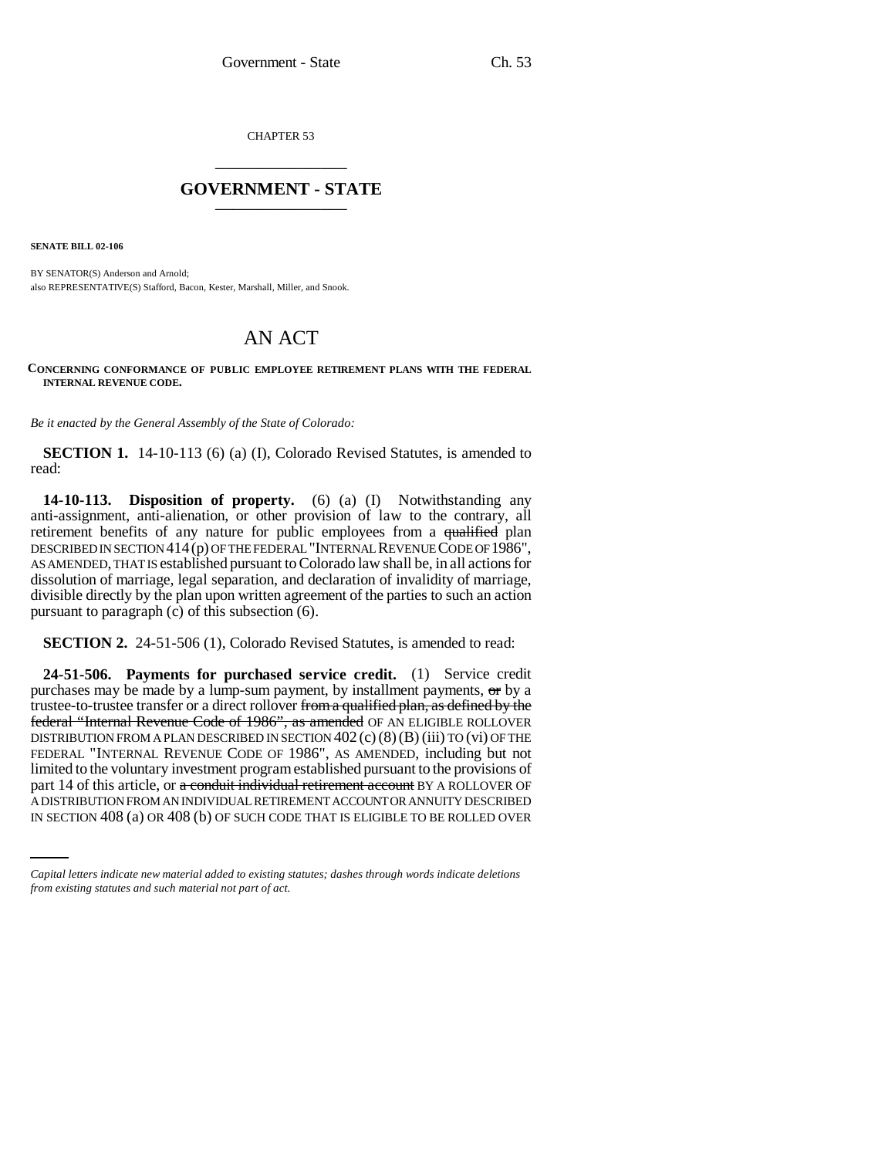CHAPTER 53 \_\_\_\_\_\_\_\_\_\_\_\_\_\_\_

## **GOVERNMENT - STATE** \_\_\_\_\_\_\_\_\_\_\_\_\_\_\_

**SENATE BILL 02-106**

BY SENATOR(S) Anderson and Arnold: also REPRESENTATIVE(S) Stafford, Bacon, Kester, Marshall, Miller, and Snook.

## AN ACT

## **CONCERNING CONFORMANCE OF PUBLIC EMPLOYEE RETIREMENT PLANS WITH THE FEDERAL INTERNAL REVENUE CODE.**

*Be it enacted by the General Assembly of the State of Colorado:*

**SECTION 1.** 14-10-113 (6) (a) (I), Colorado Revised Statutes, is amended to read:

**14-10-113. Disposition of property.** (6) (a) (I) Notwithstanding any anti-assignment, anti-alienation, or other provision of law to the contrary, all retirement benefits of any nature for public employees from a qualified plan DESCRIBED IN SECTION 414(p) OF THE FEDERAL "INTERNAL REVENUE CODE OF 1986", AS AMENDED, THAT IS established pursuant to Colorado law shall be, in all actions for dissolution of marriage, legal separation, and declaration of invalidity of marriage, divisible directly by the plan upon written agreement of the parties to such an action pursuant to paragraph (c) of this subsection (6).

**SECTION 2.** 24-51-506 (1), Colorado Revised Statutes, is amended to read:

part 14 of this article, or a conduit individual retirement account BY A ROLLOVER OF **24-51-506. Payments for purchased service credit.** (1) Service credit purchases may be made by a lump-sum payment, by installment payments, or by a trustee-to-trustee transfer or a direct rollover from a qualified plan, as defined by the federal "Internal Revenue Code of 1986", as amended OF AN ELIGIBLE ROLLOVER DISTRIBUTION FROM A PLAN DESCRIBED IN SECTION  $402$  (c)(8)(B) (iii) TO (vi) OF THE FEDERAL "INTERNAL REVENUE CODE OF 1986", AS AMENDED, including but not limited to the voluntary investment program established pursuant to the provisions of A DISTRIBUTION FROM AN INDIVIDUAL RETIREMENT ACCOUNT OR ANNUITY DESCRIBED IN SECTION 408 (a) OR 408 (b) OF SUCH CODE THAT IS ELIGIBLE TO BE ROLLED OVER

*Capital letters indicate new material added to existing statutes; dashes through words indicate deletions from existing statutes and such material not part of act.*